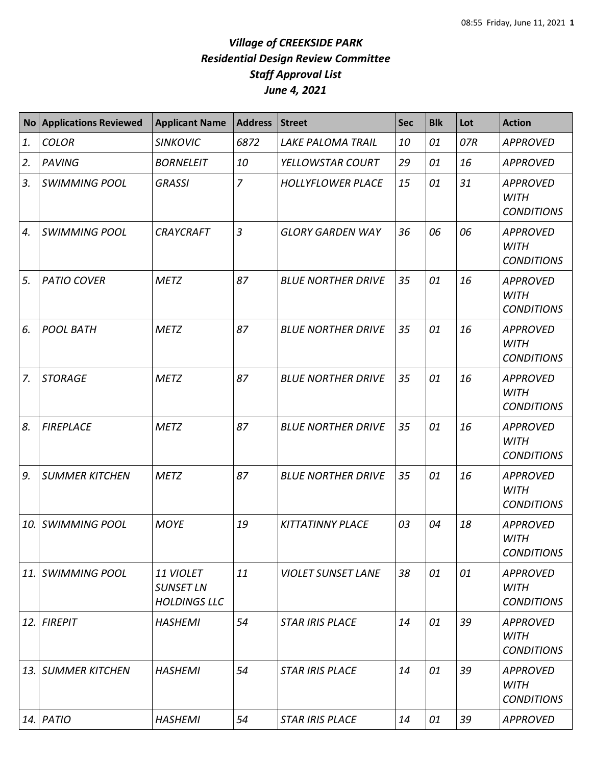| <b>No</b> | <b>Applications Reviewed</b> | <b>Applicant Name</b>                                | <b>Address</b> | <b>Street</b>             | <b>Sec</b> | <b>Blk</b> | Lot | <b>Action</b>                                       |
|-----------|------------------------------|------------------------------------------------------|----------------|---------------------------|------------|------------|-----|-----------------------------------------------------|
| 1.        | <b>COLOR</b>                 | <b>SINKOVIC</b>                                      | 6872           | <b>LAKE PALOMA TRAIL</b>  | 10         | 01         | 07R | <b>APPROVED</b>                                     |
| 2.        | <b>PAVING</b>                | <b>BORNELEIT</b>                                     | 10             | YELLOWSTAR COURT          | 29         | 01         | 16  | <b>APPROVED</b>                                     |
| 3.        | <b>SWIMMING POOL</b>         | <b>GRASSI</b>                                        | $\overline{7}$ | <b>HOLLYFLOWER PLACE</b>  | 15         | 01         | 31  | <b>APPROVED</b><br><b>WITH</b><br><b>CONDITIONS</b> |
| 4.        | <b>SWIMMING POOL</b>         | <b>CRAYCRAFT</b>                                     | $\overline{3}$ | <b>GLORY GARDEN WAY</b>   | 36         | 06         | 06  | <b>APPROVED</b><br><b>WITH</b><br><b>CONDITIONS</b> |
| 5.        | <b>PATIO COVER</b>           | <b>METZ</b>                                          | 87             | <b>BLUE NORTHER DRIVE</b> | 35         | 01         | 16  | <b>APPROVED</b><br><b>WITH</b><br><b>CONDITIONS</b> |
| 6.        | <b>POOL BATH</b>             | <b>METZ</b>                                          | 87             | <b>BLUE NORTHER DRIVE</b> | 35         | 01         | 16  | <b>APPROVED</b><br><b>WITH</b><br><b>CONDITIONS</b> |
| 7.        | <b>STORAGE</b>               | <b>METZ</b>                                          | 87             | <b>BLUE NORTHER DRIVE</b> | 35         | 01         | 16  | <b>APPROVED</b><br><b>WITH</b><br><b>CONDITIONS</b> |
| 8.        | <b>FIREPLACE</b>             | <b>METZ</b>                                          | 87             | <b>BLUE NORTHER DRIVE</b> | 35         | 01         | 16  | <b>APPROVED</b><br><b>WITH</b><br><b>CONDITIONS</b> |
| 9.        | <b>SUMMER KITCHEN</b>        | <b>METZ</b>                                          | 87             | <b>BLUE NORTHER DRIVE</b> | 35         | 01         | 16  | <b>APPROVED</b><br><b>WITH</b><br><b>CONDITIONS</b> |
| 10.       | <b>SWIMMING POOL</b>         | <b>MOYE</b>                                          | 19             | <b>KITTATINNY PLACE</b>   | 03         | 04         | 18  | <b>APPROVED</b><br><b>WITH</b><br><b>CONDITIONS</b> |
| 11.       | <i><b>SWIMMING POOL</b></i>  | 11 VIOLET<br><b>SUNSET LN</b><br><b>HOLDINGS LLC</b> | 11             | <b>VIOLET SUNSET LANE</b> | 38         | 01         | 01  | <b>APPROVED</b><br><b>WITH</b><br><b>CONDITIONS</b> |
| 12.       | <b>FIREPIT</b>               | <b>HASHEMI</b>                                       | 54             | <b>STAR IRIS PLACE</b>    | 14         | 01         | 39  | <b>APPROVED</b><br><b>WITH</b><br><b>CONDITIONS</b> |
| 13.       | <b>SUMMER KITCHEN</b>        | <b>HASHEMI</b>                                       | 54             | <b>STAR IRIS PLACE</b>    | 14         | 01         | 39  | <b>APPROVED</b><br><b>WITH</b><br><b>CONDITIONS</b> |
|           | $14.$ PATIO                  | <b>HASHEMI</b>                                       | 54             | <b>STAR IRIS PLACE</b>    | 14         | 01         | 39  | <b>APPROVED</b>                                     |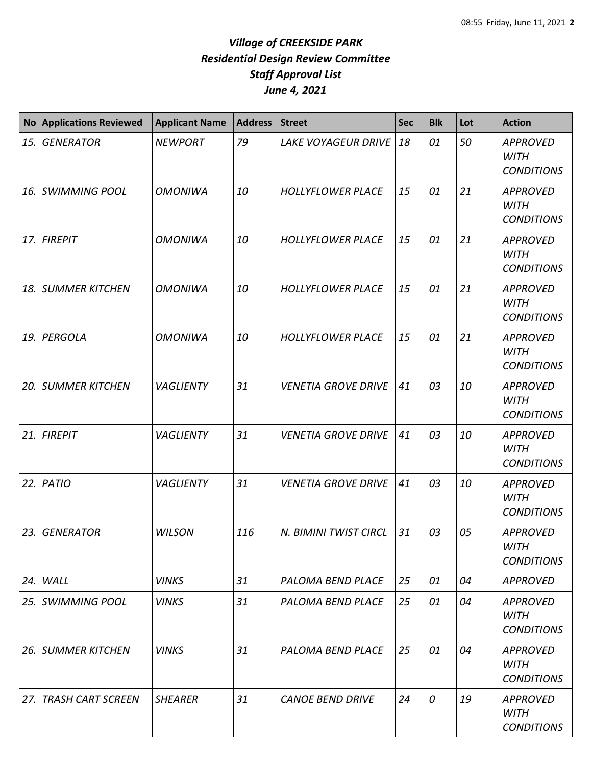| No  | <b>Applications Reviewed</b> | <b>Applicant Name</b> | <b>Address</b> | <b>Street</b>              | <b>Sec</b> | <b>Blk</b>    | Lot | <b>Action</b>                                       |
|-----|------------------------------|-----------------------|----------------|----------------------------|------------|---------------|-----|-----------------------------------------------------|
| 15. | <b>GENERATOR</b>             | <b>NEWPORT</b>        | 79             | <b>LAKE VOYAGEUR DRIVE</b> | 18         | 01            | 50  | <b>APPROVED</b><br><b>WITH</b><br><b>CONDITIONS</b> |
|     | 16. SWIMMING POOL            | <b>OMONIWA</b>        | 10             | <b>HOLLYFLOWER PLACE</b>   | 15         | 01            | 21  | <b>APPROVED</b><br><b>WITH</b><br><b>CONDITIONS</b> |
|     | 17. FIREPIT                  | <b>OMONIWA</b>        | 10             | <b>HOLLYFLOWER PLACE</b>   | 15         | 01            | 21  | <b>APPROVED</b><br><b>WITH</b><br><b>CONDITIONS</b> |
| 18. | <b>SUMMER KITCHEN</b>        | <b>OMONIWA</b>        | 10             | <b>HOLLYFLOWER PLACE</b>   | 15         | 01            | 21  | <b>APPROVED</b><br><b>WITH</b><br><b>CONDITIONS</b> |
| 19. | PERGOLA                      | <b>OMONIWA</b>        | 10             | <b>HOLLYFLOWER PLACE</b>   | 15         | 01            | 21  | <b>APPROVED</b><br><b>WITH</b><br><b>CONDITIONS</b> |
| 20. | <b>SUMMER KITCHEN</b>        | <b>VAGLIENTY</b>      | 31             | <b>VENETIA GROVE DRIVE</b> | 41         | 03            | 10  | <b>APPROVED</b><br><b>WITH</b><br><b>CONDITIONS</b> |
|     | 21. FIREPIT                  | VAGLIENTY             | 31             | <b>VENETIA GROVE DRIVE</b> | 41         | 03            | 10  | <b>APPROVED</b><br><b>WITH</b><br><b>CONDITIONS</b> |
| 22. | PATIO                        | VAGLIENTY             | 31             | <b>VENETIA GROVE DRIVE</b> | 41         | 03            | 10  | <b>APPROVED</b><br><b>WITH</b><br><b>CONDITIONS</b> |
| 23. | <b>GENERATOR</b>             | <b>WILSON</b>         | 116            | N. BIMINI TWIST CIRCL      | 31         | 03            | 05  | <b>APPROVED</b><br><b>WITH</b><br><b>CONDITIONS</b> |
| 24. | WALL                         | <b>VINKS</b>          | 31             | PALOMA BEND PLACE          | 25         | 01            | 04  | <b>APPROVED</b>                                     |
|     | 25. SWIMMING POOL            | <b>VINKS</b>          | 31             | PALOMA BEND PLACE          | 25         | 01            | 04  | <b>APPROVED</b><br><b>WITH</b><br><b>CONDITIONS</b> |
|     | <b>26. SUMMER KITCHEN</b>    | <b>VINKS</b>          | 31             | <b>PALOMA BEND PLACE</b>   | 25         | 01            | 04  | <b>APPROVED</b><br><b>WITH</b><br><b>CONDITIONS</b> |
| 27. | <b>TRASH CART SCREEN</b>     | <b>SHEARER</b>        | 31             | <b>CANOE BEND DRIVE</b>    | 24         | $\mathcal{O}$ | 19  | <b>APPROVED</b><br><b>WITH</b><br><b>CONDITIONS</b> |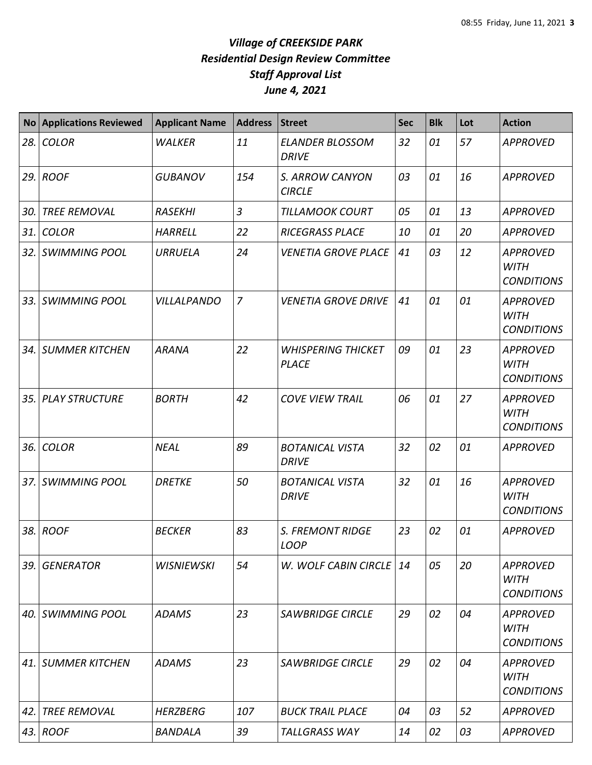| <b>No</b> | <b>Applications Reviewed</b> | <b>Applicant Name</b> | <b>Address</b> | <b>Street</b>                             | <b>Sec</b> | <b>Blk</b> | Lot | <b>Action</b>                                       |
|-----------|------------------------------|-----------------------|----------------|-------------------------------------------|------------|------------|-----|-----------------------------------------------------|
| 28.       | <b>COLOR</b>                 | <b>WALKER</b>         | 11             | <b>ELANDER BLOSSOM</b><br><b>DRIVE</b>    | 32         | 01         | 57  | <b>APPROVED</b>                                     |
| 29.       | <b>ROOF</b>                  | <b>GUBANOV</b>        | 154            | S. ARROW CANYON<br><b>CIRCLE</b>          | 03         | 01         | 16  | <b>APPROVED</b>                                     |
| 30.       | <b>TREE REMOVAL</b>          | <b>RASEKHI</b>        | $\overline{3}$ | <b>TILLAMOOK COURT</b>                    | 05         | 01         | 13  | <b>APPROVED</b>                                     |
| 31.       | <b>COLOR</b>                 | <b>HARRELL</b>        | 22             | <b>RICEGRASS PLACE</b>                    | 10         | 01         | 20  | <b>APPROVED</b>                                     |
| 32.       | <b>SWIMMING POOL</b>         | <b>URRUELA</b>        | 24             | <b>VENETIA GROVE PLACE</b>                | 41         | 03         | 12  | <b>APPROVED</b><br><b>WITH</b><br><b>CONDITIONS</b> |
| 33.       | <b>SWIMMING POOL</b>         | <b>VILLALPANDO</b>    | $\overline{7}$ | <b>VENETIA GROVE DRIVE</b>                | 41         | 01         | 01  | <b>APPROVED</b><br><b>WITH</b><br><b>CONDITIONS</b> |
| 34.       | <b>SUMMER KITCHEN</b>        | <b>ARANA</b>          | 22             | <b>WHISPERING THICKET</b><br><b>PLACE</b> | 09         | 01         | 23  | <b>APPROVED</b><br><b>WITH</b><br><b>CONDITIONS</b> |
| 35.       | <b>PLAY STRUCTURE</b>        | <b>BORTH</b>          | 42             | <b>COVE VIEW TRAIL</b>                    | 06         | 01         | 27  | <b>APPROVED</b><br><b>WITH</b><br><b>CONDITIONS</b> |
| 36.       | <b>COLOR</b>                 | <b>NEAL</b>           | 89             | <b>BOTANICAL VISTA</b><br><b>DRIVE</b>    | 32         | 02         | 01  | <b>APPROVED</b>                                     |
| 37.       | <b>SWIMMING POOL</b>         | <b>DRETKE</b>         | 50             | <b>BOTANICAL VISTA</b><br><b>DRIVE</b>    | 32         | 01         | 16  | <b>APPROVED</b><br><b>WITH</b><br><b>CONDITIONS</b> |
| 38.       | <b>ROOF</b>                  | <b>BECKER</b>         | 83             | <b>S. FREMONT RIDGE</b><br>LOOP           | 23         | 02         | 01  | <b>APPROVED</b>                                     |
| 39.       | <b>GENERATOR</b>             | <b>WISNIEWSKI</b>     | 54             | W. WOLF CABIN CIRCLE                      | 14         | 05         | 20  | <b>APPROVED</b><br><b>WITH</b><br><b>CONDITIONS</b> |
| 40.       | <b>SWIMMING POOL</b>         | <b>ADAMS</b>          | 23             | <b>SAWBRIDGE CIRCLE</b>                   | 29         | 02         | 04  | <b>APPROVED</b><br><b>WITH</b><br><b>CONDITIONS</b> |
| 41.       | <b>SUMMER KITCHEN</b>        | <b>ADAMS</b>          | 23             | <b>SAWBRIDGE CIRCLE</b>                   | 29         | 02         | 04  | <b>APPROVED</b><br><b>WITH</b><br><b>CONDITIONS</b> |
| 42.       | <b>TREE REMOVAL</b>          | <b>HERZBERG</b>       | 107            | <b>BUCK TRAIL PLACE</b>                   | 04         | 03         | 52  | <b>APPROVED</b>                                     |
| 43.       | <b>ROOF</b>                  | <b>BANDALA</b>        | 39             | <b>TALLGRASS WAY</b>                      | 14         | 02         | 03  | <b>APPROVED</b>                                     |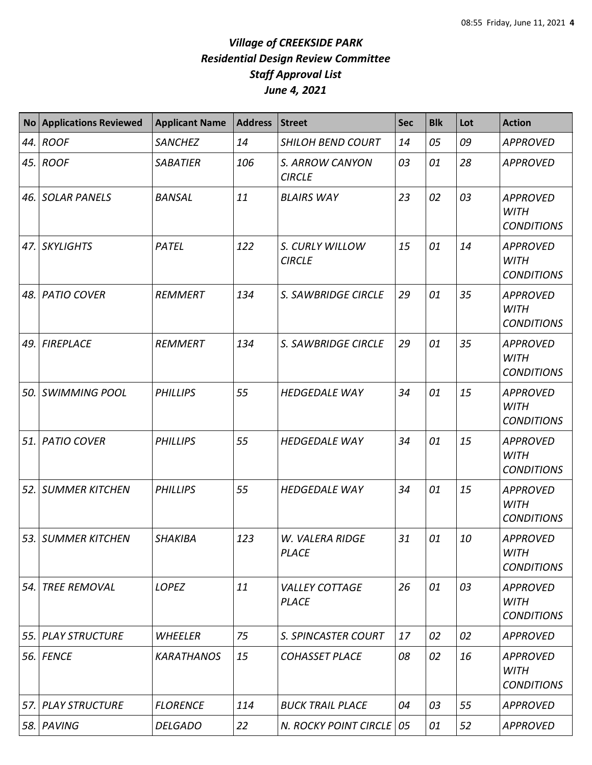| <b>No</b> | <b>Applications Reviewed</b> | <b>Applicant Name</b> | <b>Address</b> | <b>Street</b>                         | Sec | <b>Blk</b> | Lot | <b>Action</b>                                       |
|-----------|------------------------------|-----------------------|----------------|---------------------------------------|-----|------------|-----|-----------------------------------------------------|
| 44.       | <b>ROOF</b>                  | <b>SANCHEZ</b>        | 14             | <b>SHILOH BEND COURT</b>              | 14  | 05         | 09  | <b>APPROVED</b>                                     |
| 45.       | <b>ROOF</b>                  | <b>SABATIER</b>       | 106            | S. ARROW CANYON<br><b>CIRCLE</b>      | 03  | 01         | 28  | <b>APPROVED</b>                                     |
| 46.       | <b>SOLAR PANELS</b>          | <b>BANSAL</b>         | 11             | <b>BLAIRS WAY</b>                     | 23  | 02         | 03  | <b>APPROVED</b><br><b>WITH</b><br><b>CONDITIONS</b> |
| 47.       | <b>SKYLIGHTS</b>             | PATEL                 | 122            | S. CURLY WILLOW<br><b>CIRCLE</b>      | 15  | 01         | 14  | <b>APPROVED</b><br><b>WITH</b><br><b>CONDITIONS</b> |
| 48.       | <b>PATIO COVER</b>           | REMMERT               | 134            | S. SAWBRIDGE CIRCLE                   | 29  | 01         | 35  | <b>APPROVED</b><br><b>WITH</b><br><b>CONDITIONS</b> |
| 49.       | <b>FIREPLACE</b>             | REMMERT               | 134            | <b>S. SAWBRIDGE CIRCLE</b>            | 29  | 01         | 35  | <b>APPROVED</b><br><b>WITH</b><br><b>CONDITIONS</b> |
| 50.       | <b>SWIMMING POOL</b>         | <b>PHILLIPS</b>       | 55             | <b>HEDGEDALE WAY</b>                  | 34  | 01         | 15  | <b>APPROVED</b><br><b>WITH</b><br><b>CONDITIONS</b> |
| 51.       | <b>PATIO COVER</b>           | <b>PHILLIPS</b>       | 55             | <b>HEDGEDALE WAY</b>                  | 34  | 01         | 15  | <b>APPROVED</b><br><b>WITH</b><br><b>CONDITIONS</b> |
| 52.       | <b>SUMMER KITCHEN</b>        | <b>PHILLIPS</b>       | 55             | <b>HEDGEDALE WAY</b>                  | 34  | 01         | 15  | <b>APPROVED</b><br><b>WITH</b><br><b>CONDITIONS</b> |
|           | 53. SUMMER KITCHEN           | <b>SHAKIBA</b>        | 123            | W. VALERA RIDGE<br><b>PLACE</b>       | 31  | 01         | 10  | <b>APPROVED</b><br><b>WITH</b><br><b>CONDITIONS</b> |
| 54.       | <b>TREE REMOVAL</b>          | LOPEZ                 | 11             | <b>VALLEY COTTAGE</b><br><b>PLACE</b> | 26  | 01         | 03  | <b>APPROVED</b><br><b>WITH</b><br><b>CONDITIONS</b> |
| 55.       | <b>PLAY STRUCTURE</b>        | WHEELER               | 75             | S. SPINCASTER COURT                   | 17  | 02         | 02  | <b>APPROVED</b>                                     |
| 56.       | <b>FENCE</b>                 | <b>KARATHANOS</b>     | 15             | <b>COHASSET PLACE</b>                 | 08  | 02         | 16  | <b>APPROVED</b><br><b>WITH</b><br><b>CONDITIONS</b> |
| 57.       | <b>PLAY STRUCTURE</b>        | <b>FLORENCE</b>       | 114            | <b>BUCK TRAIL PLACE</b>               | 04  | 03         | 55  | <b>APPROVED</b>                                     |
| 58.       | PAVING                       | <b>DELGADO</b>        | 22             | N. ROCKY POINT CIRCLE                 | 05  | 01         | 52  | <b>APPROVED</b>                                     |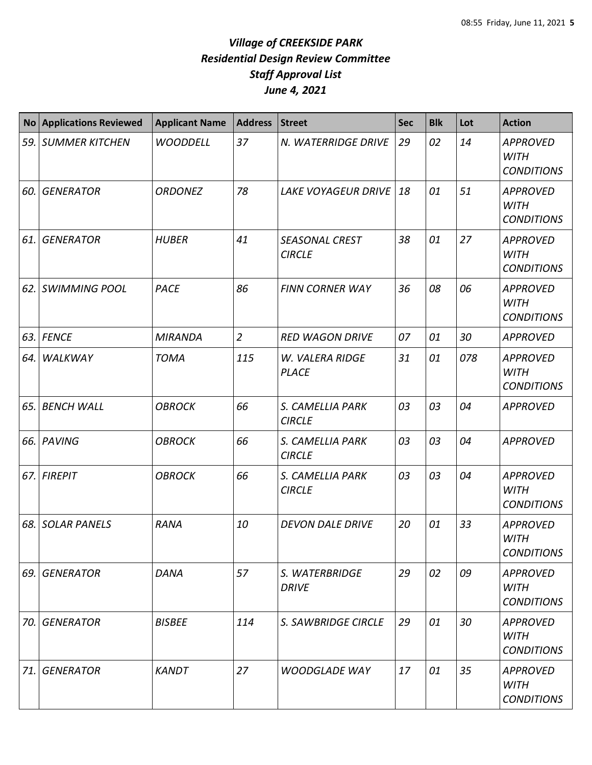| <b>No</b> | <b>Applications Reviewed</b> | <b>Applicant Name</b> | <b>Address</b> | <b>Street</b>                          | <b>Sec</b> | <b>Blk</b> | Lot | <b>Action</b>                                       |
|-----------|------------------------------|-----------------------|----------------|----------------------------------------|------------|------------|-----|-----------------------------------------------------|
| 59.       | <b>SUMMER KITCHEN</b>        | <b>WOODDELL</b>       | 37             | N. WATERRIDGE DRIVE                    | 29         | 02         | 14  | <b>APPROVED</b><br><b>WITH</b><br><b>CONDITIONS</b> |
| 60.       | <b>GENERATOR</b>             | <b>ORDONEZ</b>        | 78             | <b>LAKE VOYAGEUR DRIVE</b>             | 18         | 01         | 51  | <b>APPROVED</b><br><b>WITH</b><br><b>CONDITIONS</b> |
| 61.       | <b>GENERATOR</b>             | <b>HUBER</b>          | 41             | <b>SEASONAL CREST</b><br><b>CIRCLE</b> | 38         | 01         | 27  | <b>APPROVED</b><br><b>WITH</b><br><b>CONDITIONS</b> |
| 62.       | <b>SWIMMING POOL</b>         | <b>PACE</b>           | 86             | <b>FINN CORNER WAY</b>                 | 36         | 08         | 06  | <b>APPROVED</b><br><b>WITH</b><br><b>CONDITIONS</b> |
| 63.       | <b>FENCE</b>                 | <b>MIRANDA</b>        | $\overline{2}$ | <b>RED WAGON DRIVE</b>                 | 07         | 01         | 30  | <b>APPROVED</b>                                     |
| 64.       | WALKWAY                      | <b>TOMA</b>           | 115            | W. VALERA RIDGE<br><b>PLACE</b>        | 31         | 01         | 078 | <b>APPROVED</b><br><b>WITH</b><br><b>CONDITIONS</b> |
| 65.       | <b>BENCH WALL</b>            | <b>OBROCK</b>         | 66             | S. CAMELLIA PARK<br><b>CIRCLE</b>      | 03         | 03         | 04  | <b>APPROVED</b>                                     |
| 66.       | PAVING                       | <b>OBROCK</b>         | 66             | S. CAMELLIA PARK<br><b>CIRCLE</b>      | 03         | 03         | 04  | <b>APPROVED</b>                                     |
| 67.       | <b>FIREPIT</b>               | <b>OBROCK</b>         | 66             | S. CAMELLIA PARK<br><b>CIRCLE</b>      | 03         | 03         | 04  | <b>APPROVED</b><br><b>WITH</b><br><b>CONDITIONS</b> |
| 68.       | <b>SOLAR PANELS</b>          | <b>RANA</b>           | 10             | <b>DEVON DALE DRIVE</b>                | 20         | 01         | 33  | <b>APPROVED</b><br><b>WITH</b><br><b>CONDITIONS</b> |
| 69.       | <b>GENERATOR</b>             | <b>DANA</b>           | 57             | S. WATERBRIDGE<br><b>DRIVE</b>         | 29         | 02         | 09  | <b>APPROVED</b><br><b>WITH</b><br><b>CONDITIONS</b> |
| 70.       | <b>GENERATOR</b>             | <b>BISBEE</b>         | 114            | S. SAWBRIDGE CIRCLE                    | 29         | 01         | 30  | <b>APPROVED</b><br><b>WITH</b><br><b>CONDITIONS</b> |
| 71.       | <b>GENERATOR</b>             | <b>KANDT</b>          | 27             | <b>WOODGLADE WAY</b>                   | 17         | 01         | 35  | <b>APPROVED</b><br><b>WITH</b><br><b>CONDITIONS</b> |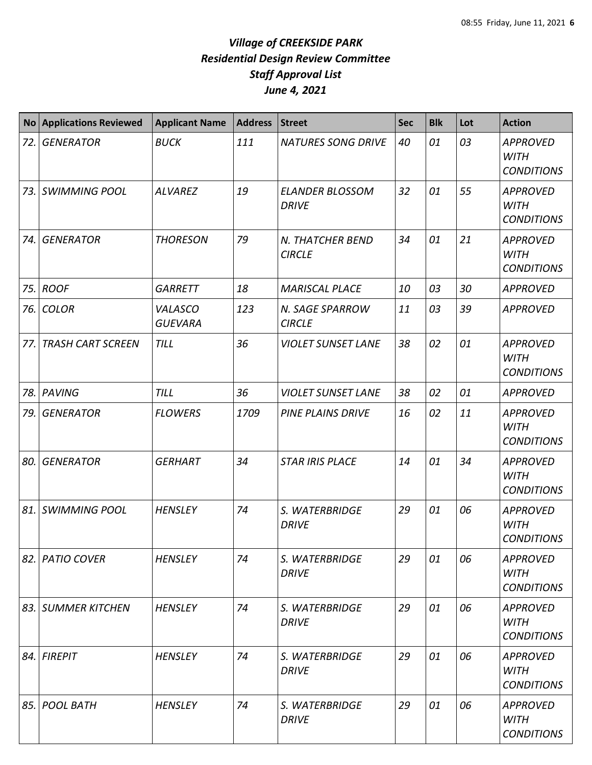| <b>No</b> | <b>Applications Reviewed</b> | <b>Applicant Name</b>     | <b>Address</b> | <b>Street</b>                          | <b>Sec</b> | <b>Blk</b> | Lot | <b>Action</b>                                       |
|-----------|------------------------------|---------------------------|----------------|----------------------------------------|------------|------------|-----|-----------------------------------------------------|
| 72.       | <b>GENERATOR</b>             | <b>BUCK</b>               | 111            | <b>NATURES SONG DRIVE</b>              | 40         | 01         | 03  | <b>APPROVED</b><br><b>WITH</b><br><b>CONDITIONS</b> |
| 73.       | <b>SWIMMING POOL</b>         | <b>ALVAREZ</b>            | 19             | <b>ELANDER BLOSSOM</b><br><b>DRIVE</b> | 32         | 01         | 55  | <b>APPROVED</b><br><b>WITH</b><br><b>CONDITIONS</b> |
| 74.       | <b>GENERATOR</b>             | <b>THORESON</b>           | 79             | N. THATCHER BEND<br><b>CIRCLE</b>      | 34         | 01         | 21  | <b>APPROVED</b><br><b>WITH</b><br><b>CONDITIONS</b> |
| 75.       | <b>ROOF</b>                  | <b>GARRETT</b>            | 18             | <b>MARISCAL PLACE</b>                  | 10         | 03         | 30  | <b>APPROVED</b>                                     |
| 76.       | <b>COLOR</b>                 | VALASCO<br><b>GUEVARA</b> | 123            | N. SAGE SPARROW<br><b>CIRCLE</b>       | 11         | 03         | 39  | <b>APPROVED</b>                                     |
| 77.       | <b>TRASH CART SCREEN</b>     | <b>TILL</b>               | 36             | <b>VIOLET SUNSET LANE</b>              | 38         | 02         | 01  | <b>APPROVED</b><br><b>WITH</b><br><b>CONDITIONS</b> |
| 78.       | PAVING                       | <b>TILL</b>               | 36             | <b>VIOLET SUNSET LANE</b>              | 38         | 02         | 01  | <b>APPROVED</b>                                     |
| 79.       | <b>GENERATOR</b>             | <b>FLOWERS</b>            | 1709           | <b>PINE PLAINS DRIVE</b>               | 16         | 02         | 11  | <b>APPROVED</b><br><b>WITH</b><br><b>CONDITIONS</b> |
| 80.       | <b>GENERATOR</b>             | <b>GERHART</b>            | 34             | <b>STAR IRIS PLACE</b>                 | 14         | 01         | 34  | <b>APPROVED</b><br><b>WITH</b><br><b>CONDITIONS</b> |
| 81.       | <b>SWIMMING POOL</b>         | <b>HENSLEY</b>            | 74             | S. WATERBRIDGE<br><b>DRIVE</b>         | 29         | 01         | 06  | <b>APPROVED</b><br><b>WITH</b><br><b>CONDITIONS</b> |
| 82.       | <b>PATIO COVER</b>           | <b>HENSLEY</b>            | 74             | S. WATERBRIDGE<br><b>DRIVE</b>         | 29         | 01         | 06  | <b>APPROVED</b><br><b>WITH</b><br><b>CONDITIONS</b> |
| 83.       | <b>SUMMER KITCHEN</b>        | <b>HENSLEY</b>            | 74             | S. WATERBRIDGE<br><b>DRIVE</b>         | 29         | 01         | 06  | <b>APPROVED</b><br><b>WITH</b><br><b>CONDITIONS</b> |
| 84.       | <b>FIREPIT</b>               | <b>HENSLEY</b>            | 74             | S. WATERBRIDGE<br><b>DRIVE</b>         | 29         | 01         | 06  | <b>APPROVED</b><br><b>WITH</b><br><b>CONDITIONS</b> |
| 85.       | <b>POOL BATH</b>             | <b>HENSLEY</b>            | 74             | S. WATERBRIDGE<br><b>DRIVE</b>         | 29         | 01         | 06  | <b>APPROVED</b><br><b>WITH</b><br><b>CONDITIONS</b> |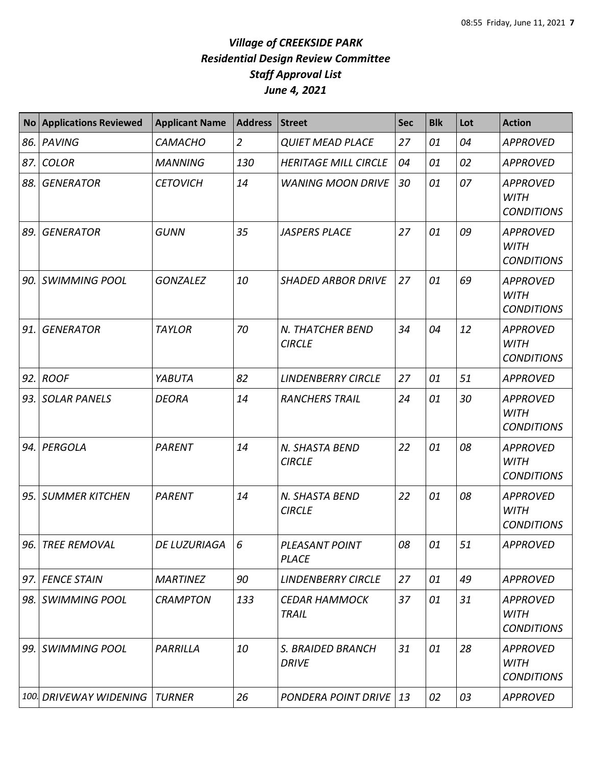| <b>No</b> | <b>Applications Reviewed</b> | <b>Applicant Name</b> | <b>Address</b> | <b>Street</b>                        | <b>Sec</b> | <b>Blk</b> | Lot | <b>Action</b>                                       |
|-----------|------------------------------|-----------------------|----------------|--------------------------------------|------------|------------|-----|-----------------------------------------------------|
| 86.       | PAVING                       | <b>CAMACHO</b>        | $\overline{2}$ | <b>QUIET MEAD PLACE</b>              | 27         | 01         | 04  | <b>APPROVED</b>                                     |
| 87.       | <b>COLOR</b>                 | <b>MANNING</b>        | 130            | <b>HERITAGE MILL CIRCLE</b>          | 04         | 01         | 02  | <b>APPROVED</b>                                     |
| 88.       | <b>GENERATOR</b>             | <b>CETOVICH</b>       | 14             | <b>WANING MOON DRIVE</b>             | 30         | 01         | 07  | <b>APPROVED</b><br><b>WITH</b><br><b>CONDITIONS</b> |
| 89.       | <b>GENERATOR</b>             | <b>GUNN</b>           | 35             | <b>JASPERS PLACE</b>                 | 27         | 01         | 09  | <b>APPROVED</b><br><b>WITH</b><br><b>CONDITIONS</b> |
| 90.       | <b>SWIMMING POOL</b>         | <b>GONZALEZ</b>       | 10             | <b>SHADED ARBOR DRIVE</b>            | 27         | 01         | 69  | <b>APPROVED</b><br><b>WITH</b><br><b>CONDITIONS</b> |
| 91.       | <b>GENERATOR</b>             | <b>TAYLOR</b>         | 70             | N. THATCHER BEND<br><b>CIRCLE</b>    | 34         | 04         | 12  | <b>APPROVED</b><br><b>WITH</b><br><b>CONDITIONS</b> |
| 92.       | <b>ROOF</b>                  | YABUTA                | 82             | <b>LINDENBERRY CIRCLE</b>            | 27         | 01         | 51  | <b>APPROVED</b>                                     |
| 93.       | <b>SOLAR PANELS</b>          | <b>DEORA</b>          | 14             | <b>RANCHERS TRAIL</b>                | 24         | 01         | 30  | <b>APPROVED</b><br><b>WITH</b><br><b>CONDITIONS</b> |
| 94.       | PERGOLA                      | <b>PARENT</b>         | 14             | N. SHASTA BEND<br><b>CIRCLE</b>      | 22         | 01         | 08  | <b>APPROVED</b><br><b>WITH</b><br><b>CONDITIONS</b> |
| 95.       | <b>SUMMER KITCHEN</b>        | <b>PARENT</b>         | 14             | N. SHASTA BEND<br><b>CIRCLE</b>      | 22         | 01         | 08  | <b>APPROVED</b><br><b>WITH</b><br><b>CONDITIONS</b> |
|           | 96. TREE REMOVAL             | DE LUZURIAGA          | 6              | PLEASANT POINT<br><b>PLACE</b>       | 08         | 01         | 51  | <b>APPROVED</b>                                     |
|           | 97. FENCE STAIN              | <b>MARTINEZ</b>       | 90             | <b>LINDENBERRY CIRCLE</b>            | 27         | 01         | 49  | <b>APPROVED</b>                                     |
| 98.       | SWIMMING POOL                | <b>CRAMPTON</b>       | 133            | <b>CEDAR HAMMOCK</b><br><b>TRAIL</b> | 37         | 01         | 31  | <b>APPROVED</b><br><b>WITH</b><br><b>CONDITIONS</b> |
| 99.       | SWIMMING POOL                | PARRILLA              | 10             | S. BRAIDED BRANCH<br><b>DRIVE</b>    | 31         | 01         | 28  | <b>APPROVED</b><br><b>WITH</b><br><b>CONDITIONS</b> |
|           | 100. DRIVEWAY WIDENING       | <b>TURNER</b>         | 26             | PONDERA POINT DRIVE                  | 13         | 02         | 03  | <b>APPROVED</b>                                     |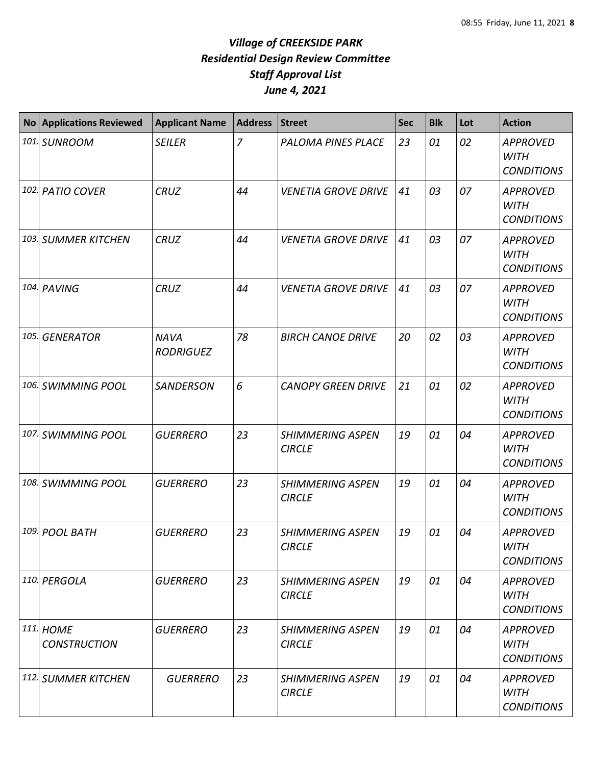| No Applications Reviewed         | <b>Applicant Name</b>           | <b>Address</b> | <b>Street</b>                            | <b>Sec</b> | <b>Blk</b> | Lot | <b>Action</b>                                       |
|----------------------------------|---------------------------------|----------------|------------------------------------------|------------|------------|-----|-----------------------------------------------------|
| 101. SUNROOM                     | <b>SEILER</b>                   | 7              | PALOMA PINES PLACE                       | 23         | 01         | 02  | <b>APPROVED</b><br><b>WITH</b><br><b>CONDITIONS</b> |
| 102. PATIO COVER                 | <b>CRUZ</b>                     | 44             | <b>VENETIA GROVE DRIVE</b>               | 41         | 03         | 07  | <b>APPROVED</b><br><b>WITH</b><br><b>CONDITIONS</b> |
| 103. SUMMER KITCHEN              | <b>CRUZ</b>                     | 44             | <b>VENETIA GROVE DRIVE</b>               | 41         | 03         | 07  | <b>APPROVED</b><br><b>WITH</b><br><b>CONDITIONS</b> |
| 104. PAVING                      | <b>CRUZ</b>                     | 44             | <b>VENETIA GROVE DRIVE</b>               | 41         | 03         | 07  | <b>APPROVED</b><br><b>WITH</b><br><b>CONDITIONS</b> |
| 105. GENERATOR                   | <b>NAVA</b><br><b>RODRIGUEZ</b> | 78             | <b>BIRCH CANOE DRIVE</b>                 | 20         | 02         | 03  | <b>APPROVED</b><br><b>WITH</b><br><b>CONDITIONS</b> |
| 106. SWIMMING POOL               | <b>SANDERSON</b>                | 6              | <b>CANOPY GREEN DRIVE</b>                | 21         | 01         | 02  | <b>APPROVED</b><br><b>WITH</b><br><b>CONDITIONS</b> |
| 107. SWIMMING POOL               | <b>GUERRERO</b>                 | 23             | <b>SHIMMERING ASPEN</b><br><b>CIRCLE</b> | 19         | 01         | 04  | <b>APPROVED</b><br><b>WITH</b><br><b>CONDITIONS</b> |
| 108. SWIMMING POOL               | <b>GUERRERO</b>                 | 23             | <b>SHIMMERING ASPEN</b><br><b>CIRCLE</b> | 19         | 01         | 04  | <b>APPROVED</b><br><b>WITH</b><br><b>CONDITIONS</b> |
| 109. POOL BATH                   | <b>GUERRERO</b>                 | 23             | <b>SHIMMERING ASPEN</b><br><b>CIRCLE</b> | 19         | 01         | 04  | <b>APPROVED</b><br><b>WITH</b><br><b>CONDITIONS</b> |
| 110. PERGOLA                     | <b>GUERRERO</b>                 | 23             | <b>SHIMMERING ASPEN</b><br><b>CIRCLE</b> | 19         | 01         | 04  | <b>APPROVED</b><br><b>WITH</b><br><b>CONDITIONS</b> |
| 111. HOME<br><b>CONSTRUCTION</b> | <b>GUERRERO</b>                 | 23             | <b>SHIMMERING ASPEN</b><br><b>CIRCLE</b> | 19         | 01         | 04  | <b>APPROVED</b><br><b>WITH</b><br><b>CONDITIONS</b> |
| 112. SUMMER KITCHEN              | <b>GUERRERO</b>                 | 23             | <b>SHIMMERING ASPEN</b><br><b>CIRCLE</b> | 19         | 01         | 04  | <b>APPROVED</b><br><b>WITH</b><br><b>CONDITIONS</b> |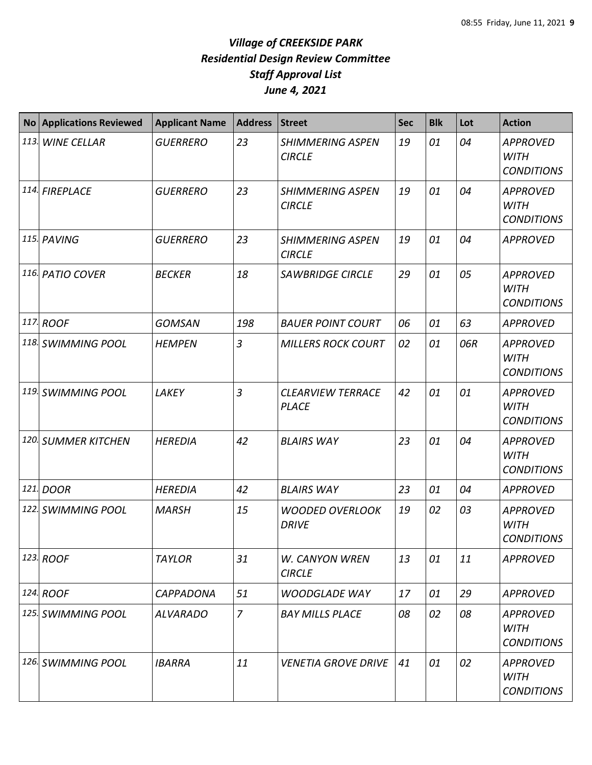| <b>No</b> | <b>Applications Reviewed</b> | <b>Applicant Name</b> | <b>Address</b> | <b>Street</b>                            | <b>Sec</b> | <b>Blk</b> | Lot | <b>Action</b>                                       |
|-----------|------------------------------|-----------------------|----------------|------------------------------------------|------------|------------|-----|-----------------------------------------------------|
|           | 113. WINE CELLAR             | <b>GUERRERO</b>       | 23             | <b>SHIMMERING ASPEN</b><br><b>CIRCLE</b> | 19         | 01         | 04  | <b>APPROVED</b><br><b>WITH</b><br><b>CONDITIONS</b> |
|           | 114. FIREPLACE               | <b>GUERRERO</b>       | 23             | <b>SHIMMERING ASPEN</b><br><b>CIRCLE</b> | 19         | 01         | 04  | <b>APPROVED</b><br><b>WITH</b><br><b>CONDITIONS</b> |
|           | 115. PAVING                  | <b>GUERRERO</b>       | 23             | <b>SHIMMERING ASPEN</b><br><b>CIRCLE</b> | 19         | 01         | 04  | <b>APPROVED</b>                                     |
|           | 116. PATIO COVER             | <b>BECKER</b>         | 18             | <b>SAWBRIDGE CIRCLE</b>                  | 29         | 01         | 05  | <b>APPROVED</b><br><b>WITH</b><br><b>CONDITIONS</b> |
|           | 117. ROOF                    | <b>GOMSAN</b>         | 198            | <b>BAUER POINT COURT</b>                 | 06         | 01         | 63  | <b>APPROVED</b>                                     |
|           | 118. SWIMMING POOL           | <b>HEMPEN</b>         | $\overline{3}$ | <b>MILLERS ROCK COURT</b>                | 02         | 01         | 06R | <b>APPROVED</b><br><b>WITH</b><br><b>CONDITIONS</b> |
|           | 119. SWIMMING POOL           | LAKEY                 | 3              | <b>CLEARVIEW TERRACE</b><br><b>PLACE</b> | 42         | 01         | 01  | <b>APPROVED</b><br><b>WITH</b><br><b>CONDITIONS</b> |
|           | 120. SUMMER KITCHEN          | <b>HEREDIA</b>        | 42             | <b>BLAIRS WAY</b>                        | 23         | 01         | 04  | <b>APPROVED</b><br><b>WITH</b><br><b>CONDITIONS</b> |
|           | 121. DOOR                    | <b>HEREDIA</b>        | 42             | <b>BLAIRS WAY</b>                        | 23         | 01         | 04  | <b>APPROVED</b>                                     |
|           | 122. SWIMMING POOL           | <b>MARSH</b>          | 15             | <b>WOODED OVERLOOK</b><br><b>DRIVE</b>   | 19         | 02         | 03  | <b>APPROVED</b><br><b>WITH</b><br><b>CONDITIONS</b> |
|           | 123. ROOF                    | <b>TAYLOR</b>         | 31             | <b>W. CANYON WREN</b><br><b>CIRCLE</b>   | 13         | 01         | 11  | <b>APPROVED</b>                                     |
|           | 124. ROOF                    | <b>CAPPADONA</b>      | 51             | <b>WOODGLADE WAY</b>                     | 17         | 01         | 29  | <b>APPROVED</b>                                     |
|           | 125. SWIMMING POOL           | <b>ALVARADO</b>       | $\overline{z}$ | <b>BAY MILLS PLACE</b>                   | 08         | 02         | 08  | <b>APPROVED</b><br><b>WITH</b><br><b>CONDITIONS</b> |
|           | 126. SWIMMING POOL           | <b>IBARRA</b>         | 11             | <b>VENETIA GROVE DRIVE</b>               | 41         | 01         | 02  | <b>APPROVED</b><br><b>WITH</b><br><b>CONDITIONS</b> |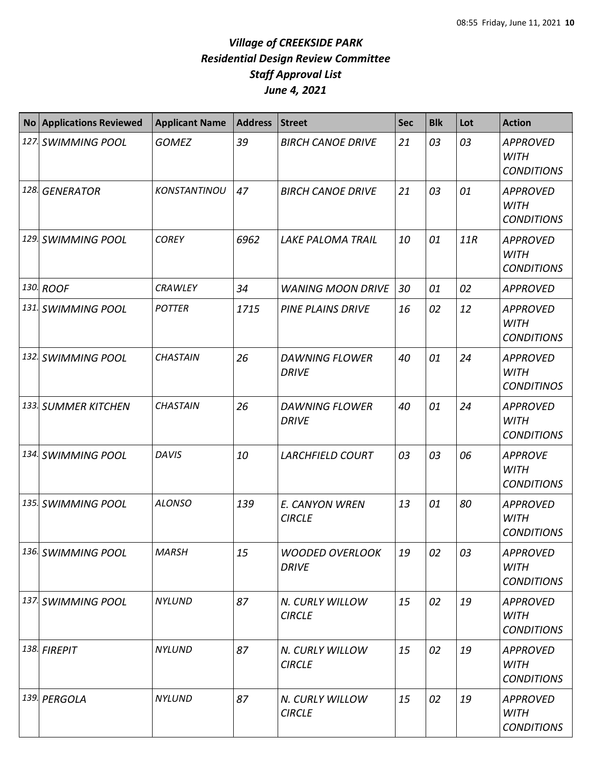| <b>No</b> | <b>Applications Reviewed</b> | <b>Applicant Name</b> | <b>Address</b> | <b>Street</b>                          | <b>Sec</b> | <b>Blk</b> | Lot | <b>Action</b>                                       |
|-----------|------------------------------|-----------------------|----------------|----------------------------------------|------------|------------|-----|-----------------------------------------------------|
|           | 127. SWIMMING POOL           | <b>GOMEZ</b>          | 39             | <b>BIRCH CANOE DRIVE</b>               | 21         | 03         | 03  | <b>APPROVED</b><br><b>WITH</b><br><b>CONDITIONS</b> |
|           | 128. GENERATOR               | KONSTANTINOU          | 47             | <b>BIRCH CANOE DRIVE</b>               | 21         | 03         | 01  | <b>APPROVED</b><br><b>WITH</b><br><b>CONDITIONS</b> |
|           | 129. SWIMMING POOL           | <b>COREY</b>          | 6962           | <b>LAKE PALOMA TRAIL</b>               | 10         | 01         | 11R | <b>APPROVED</b><br><b>WITH</b><br><b>CONDITIONS</b> |
|           | 130. ROOF                    | <b>CRAWLEY</b>        | 34             | <b>WANING MOON DRIVE</b>               | 30         | 01         | 02  | <b>APPROVED</b>                                     |
|           | 131. SWIMMING POOL           | <b>POTTER</b>         | 1715           | <b>PINE PLAINS DRIVE</b>               | 16         | 02         | 12  | <b>APPROVED</b><br><b>WITH</b><br><b>CONDITIONS</b> |
|           | 132. SWIMMING POOL           | <b>CHASTAIN</b>       | 26             | <b>DAWNING FLOWER</b><br><b>DRIVE</b>  | 40         | 01         | 24  | <b>APPROVED</b><br><b>WITH</b><br><b>CONDITINOS</b> |
|           | 133. SUMMER KITCHEN          | <b>CHASTAIN</b>       | 26             | <b>DAWNING FLOWER</b><br><b>DRIVE</b>  | 40         | 01         | 24  | <b>APPROVED</b><br><b>WITH</b><br><b>CONDITIONS</b> |
|           | 134. SWIMMING POOL           | <b>DAVIS</b>          | 10             | <b>LARCHFIELD COURT</b>                | 03         | 03         | 06  | <b>APPROVE</b><br><b>WITH</b><br><b>CONDITIONS</b>  |
|           | 135. SWIMMING POOL           | <b>ALONSO</b>         | 139            | E. CANYON WREN<br><b>CIRCLE</b>        | 13         | 01         | 80  | <b>APPROVED</b><br><b>WITH</b><br><b>CONDITIONS</b> |
|           | 136. SWIMMING POOL           | <b>MARSH</b>          | 15             | <b>WOODED OVERLOOK</b><br><b>DRIVE</b> | 19         | 02         | 03  | <b>APPROVED</b><br><b>WITH</b><br><b>CONDITIONS</b> |
|           | 137. SWIMMING POOL           | <b>NYLUND</b>         | 87             | N. CURLY WILLOW<br><b>CIRCLE</b>       | 15         | 02         | 19  | <b>APPROVED</b><br><b>WITH</b><br><b>CONDITIONS</b> |
|           | 138. FIREPIT                 | <b>NYLUND</b>         | 87             | N. CURLY WILLOW<br><b>CIRCLE</b>       | 15         | 02         | 19  | <b>APPROVED</b><br><b>WITH</b><br><b>CONDITIONS</b> |
|           | 139. PERGOLA                 | <b>NYLUND</b>         | 87             | N. CURLY WILLOW<br><b>CIRCLE</b>       | 15         | 02         | 19  | <b>APPROVED</b><br><b>WITH</b><br><b>CONDITIONS</b> |